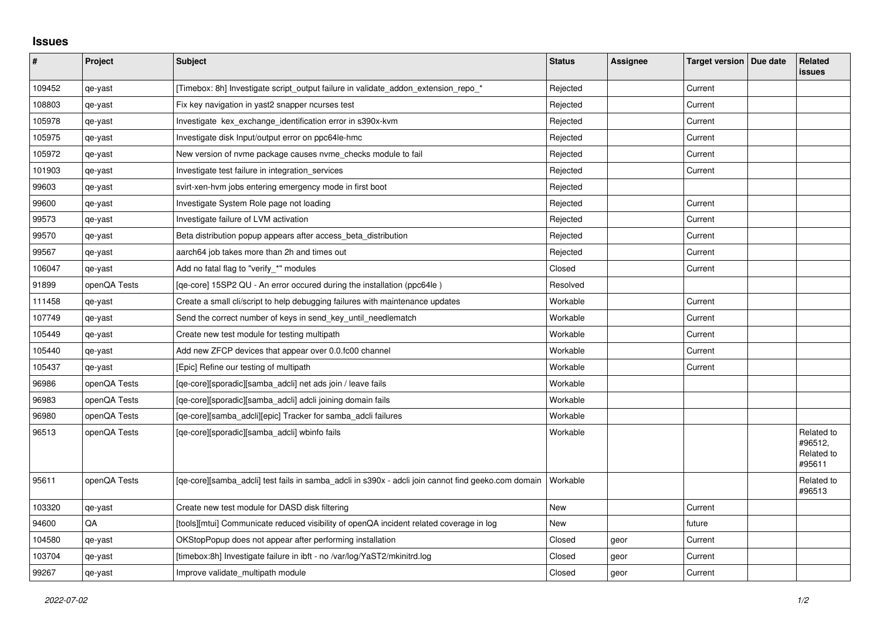## **Issues**

| #      | Project      | <b>Subject</b>                                                                                                 | <b>Status</b> | Assignee | Target version   Due date | Related<br>issues                             |
|--------|--------------|----------------------------------------------------------------------------------------------------------------|---------------|----------|---------------------------|-----------------------------------------------|
| 109452 | qe-yast      | [Timebox: 8h] Investigate script output failure in validate addon extension repo *                             | Rejected      |          | Current                   |                                               |
| 108803 | qe-yast      | Fix key navigation in yast2 snapper ncurses test                                                               | Rejected      |          | Current                   |                                               |
| 105978 | qe-yast      | Investigate kex exchange identification error in s390x-kvm                                                     | Rejected      |          | Current                   |                                               |
| 105975 | qe-yast      | Investigate disk Input/output error on ppc64le-hmc                                                             | Rejected      |          | Current                   |                                               |
| 105972 | qe-yast      | New version of nyme package causes nyme checks module to fail                                                  | Rejected      |          | Current                   |                                               |
| 101903 | qe-yast      | Investigate test failure in integration_services                                                               | Rejected      |          | Current                   |                                               |
| 99603  | qe-yast      | svirt-xen-hvm jobs entering emergency mode in first boot                                                       | Rejected      |          |                           |                                               |
| 99600  | qe-yast      | Investigate System Role page not loading                                                                       | Rejected      |          | Current                   |                                               |
| 99573  | qe-yast      | Investigate failure of LVM activation                                                                          | Rejected      |          | Current                   |                                               |
| 99570  | qe-yast      | Beta distribution popup appears after access beta distribution                                                 | Rejected      |          | Current                   |                                               |
| 99567  | qe-yast      | aarch64 job takes more than 2h and times out                                                                   | Rejected      |          | Current                   |                                               |
| 106047 | qe-yast      | Add no fatal flag to "verify_*" modules                                                                        | Closed        |          | Current                   |                                               |
| 91899  | openQA Tests | [qe-core] 15SP2 QU - An error occured during the installation (ppc64le)                                        | Resolved      |          |                           |                                               |
| 111458 | qe-yast      | Create a small cli/script to help debugging failures with maintenance updates                                  | Workable      |          | Current                   |                                               |
| 107749 | qe-yast      | Send the correct number of keys in send_key_until_needlematch                                                  | Workable      |          | Current                   |                                               |
| 105449 | qe-yast      | Create new test module for testing multipath                                                                   | Workable      |          | Current                   |                                               |
| 105440 | qe-yast      | Add new ZFCP devices that appear over 0.0.fc00 channel                                                         | Workable      |          | Current                   |                                               |
| 105437 | qe-yast      | [Epic] Refine our testing of multipath                                                                         | Workable      |          | Current                   |                                               |
| 96986  | openQA Tests | [ge-core][sporadic][samba adcli] net ads join / leave fails                                                    | Workable      |          |                           |                                               |
| 96983  | openQA Tests | [qe-core][sporadic][samba_adcli] adcli joining domain fails                                                    | Workable      |          |                           |                                               |
| 96980  | openQA Tests | [qe-core][samba_adcli][epic] Tracker for samba_adcli failures                                                  | Workable      |          |                           |                                               |
| 96513  | openQA Tests | [qe-core][sporadic][samba_adcli] wbinfo fails                                                                  | Workable      |          |                           | Related to<br>#96512,<br>Related to<br>#95611 |
| 95611  | openQA Tests | [qe-core][samba_adcli] test fails in samba_adcli in s390x - adcli join cannot find geeko.com domain   Workable |               |          |                           | Related to<br>#96513                          |
| 103320 | qe-yast      | Create new test module for DASD disk filtering                                                                 | <b>New</b>    |          | Current                   |                                               |
| 94600  | QA           | [tools][mtui] Communicate reduced visibility of openQA incident related coverage in log                        | New           |          | future                    |                                               |
| 104580 | qe-yast      | OKStopPopup does not appear after performing installation                                                      | Closed        | geor     | Current                   |                                               |
| 103704 | qe-yast      | [timebox:8h] Investigate failure in ibft - no /var/log/YaST2/mkinitrd.log                                      | Closed        | geor     | Current                   |                                               |
| 99267  | qe-yast      | Improve validate multipath module                                                                              | Closed        | geor     | Current                   |                                               |